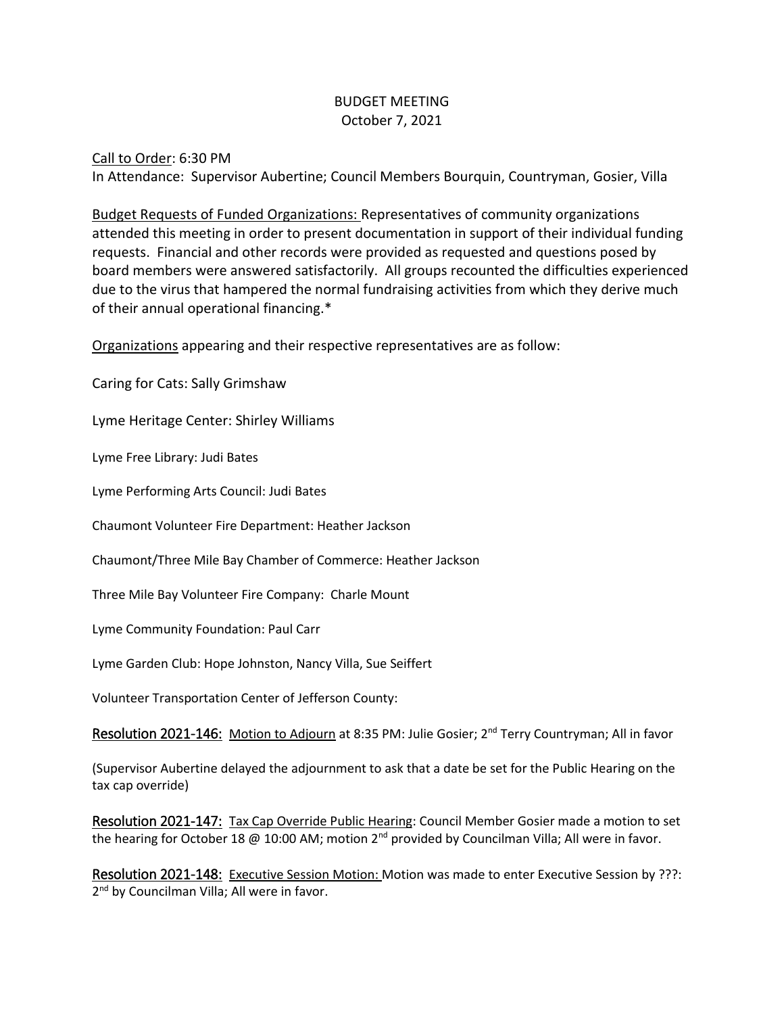## BUDGET MEETING October 7, 2021

Call to Order: 6:30 PM In Attendance: Supervisor Aubertine; Council Members Bourquin, Countryman, Gosier, Villa

Budget Requests of Funded Organizations: Representatives of community organizations attended this meeting in order to present documentation in support of their individual funding requests. Financial and other records were provided as requested and questions posed by board members were answered satisfactorily. All groups recounted the difficulties experienced due to the virus that hampered the normal fundraising activities from which they derive much of their annual operational financing.\*

Organizations appearing and their respective representatives are as follow:

Caring for Cats: Sally Grimshaw

Lyme Heritage Center: Shirley Williams

Lyme Free Library: Judi Bates

Lyme Performing Arts Council: Judi Bates

Chaumont Volunteer Fire Department: Heather Jackson

Chaumont/Three Mile Bay Chamber of Commerce: Heather Jackson

Three Mile Bay Volunteer Fire Company: Charle Mount

Lyme Community Foundation: Paul Carr

Lyme Garden Club: Hope Johnston, Nancy Villa, Sue Seiffert

Volunteer Transportation Center of Jefferson County:

Resolution 2021-146: Motion to Adjourn at 8:35 PM: Julie Gosier; 2<sup>nd</sup> Terry Countryman; All in favor

(Supervisor Aubertine delayed the adjournment to ask that a date be set for the Public Hearing on the tax cap override)

Resolution 2021-147: Tax Cap Override Public Hearing: Council Member Gosier made a motion to set the hearing for October 18 @ 10:00 AM; motion 2<sup>nd</sup> provided by Councilman Villa; All were in favor.

Resolution 2021-148: Executive Session Motion: Motion was made to enter Executive Session by ???: 2<sup>nd</sup> by Councilman Villa; All were in favor.